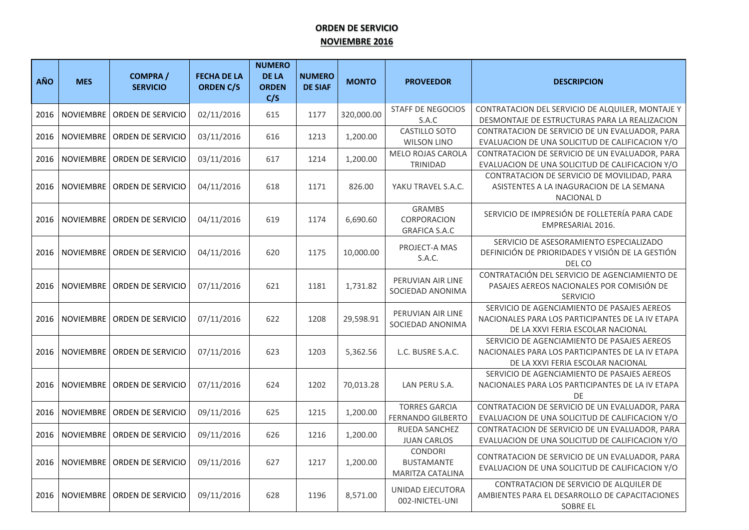## **ORDEN DE SERVICIO NOVIEMBRE 2016**

| <b>AÑO</b> | <b>MES</b>       | <b>COMPRA/</b><br><b>SERVICIO</b> | <b>FECHA DE LA</b><br><b>ORDEN C/S</b> | <b>NUMERO</b><br><b>DE LA</b><br><b>ORDEN</b><br>C/S | <b>NUMERO</b><br><b>DE SIAF</b> | <b>MONTO</b> | <b>PROVEEDOR</b>                                        | <b>DESCRIPCION</b>                                                                                                                   |
|------------|------------------|-----------------------------------|----------------------------------------|------------------------------------------------------|---------------------------------|--------------|---------------------------------------------------------|--------------------------------------------------------------------------------------------------------------------------------------|
| 2016       | <b>NOVIEMBRE</b> | ORDEN DE SERVICIO                 | 02/11/2016                             | 615                                                  | 1177                            | 320,000.00   | <b>STAFF DE NEGOCIOS</b><br>S.A.C                       | CONTRATACION DEL SERVICIO DE ALQUILER, MONTAJE Y<br>DESMONTAJE DE ESTRUCTURAS PARA LA REALIZACION                                    |
| 2016       | <b>NOVIEMBRE</b> | <b>ORDEN DE SERVICIO</b>          | 03/11/2016                             | 616                                                  | 1213                            | 1,200.00     | CASTILLO SOTO<br><b>WILSON LINO</b>                     | CONTRATACION DE SERVICIO DE UN EVALUADOR, PARA<br>EVALUACION DE UNA SOLICITUD DE CALIFICACION Y/O                                    |
| 2016       | <b>NOVIEMBRE</b> | <b>ORDEN DE SERVICIO</b>          | 03/11/2016                             | 617                                                  | 1214                            | 1,200.00     | MELO ROJAS CAROLA<br>TRINIDAD                           | CONTRATACION DE SERVICIO DE UN EVALUADOR, PARA<br>EVALUACION DE UNA SOLICITUD DE CALIFICACION Y/O                                    |
| 2016       | <b>NOVIEMBRE</b> | ORDEN DE SERVICIO                 | 04/11/2016                             | 618                                                  | 1171                            | 826.00       | YAKU TRAVEL S.A.C.                                      | CONTRATACION DE SERVICIO DE MOVILIDAD, PARA<br>ASISTENTES A LA INAGURACION DE LA SEMANA<br><b>NACIONAL D</b>                         |
| 2016       | <b>NOVIEMBRE</b> | ORDEN DE SERVICIO                 | 04/11/2016                             | 619                                                  | 1174                            | 6,690.60     | <b>GRAMBS</b><br>CORPORACION<br><b>GRAFICA S.A.C</b>    | SERVICIO DE IMPRESIÓN DE FOLLETERÍA PARA CADE<br>EMPRESARIAL 2016.                                                                   |
| 2016       | <b>NOVIEMBRE</b> | ORDEN DE SERVICIO                 | 04/11/2016                             | 620                                                  | 1175                            | 10,000.00    | PROJECT-A MAS<br>S.A.C.                                 | SERVICIO DE ASESORAMIENTO ESPECIALIZADO<br>DEFINICIÓN DE PRIORIDADES Y VISIÓN DE LA GESTIÓN<br>DEL CO                                |
| 2016       | <b>NOVIEMBRE</b> | ORDEN DE SERVICIO                 | 07/11/2016                             | 621                                                  | 1181                            | 1,731.82     | PERUVIAN AIR LINE<br>SOCIEDAD ANONIMA                   | CONTRATACIÓN DEL SERVICIO DE AGENCIAMIENTO DE<br>PASAJES AEREOS NACIONALES POR COMISIÓN DE<br><b>SERVICIO</b>                        |
| 2016       | <b>NOVIEMBRE</b> | ORDEN DE SERVICIO                 | 07/11/2016                             | 622                                                  | 1208                            | 29,598.91    | PERUVIAN AIR LINE<br>SOCIEDAD ANONIMA                   | SERVICIO DE AGENCIAMIENTO DE PASAJES AEREOS<br>NACIONALES PARA LOS PARTICIPANTES DE LA IV ETAPA<br>DE LA XXVI FERIA ESCOLAR NACIONAL |
| 2016       | <b>NOVIEMBRE</b> | ORDEN DE SERVICIO                 | 07/11/2016                             | 623                                                  | 1203                            | 5,362.56     | L.C. BUSRE S.A.C.                                       | SERVICIO DE AGENCIAMIENTO DE PASAJES AEREOS<br>NACIONALES PARA LOS PARTICIPANTES DE LA IV ETAPA<br>DE LA XXVI FERIA ESCOLAR NACIONAL |
| 2016       | <b>NOVIEMBRE</b> | <b>ORDEN DE SERVICIO</b>          | 07/11/2016                             | 624                                                  | 1202                            | 70,013.28    | LAN PERU S.A.                                           | SERVICIO DE AGENCIAMIENTO DE PASAJES AEREOS<br>NACIONALES PARA LOS PARTICIPANTES DE LA IV ETAPA<br>DE                                |
| 2016       | <b>NOVIEMBRE</b> | <b>ORDEN DE SERVICIO</b>          | 09/11/2016                             | 625                                                  | 1215                            | 1,200.00     | <b>TORRES GARCIA</b><br><b>FERNANDO GILBERTO</b>        | CONTRATACION DE SERVICIO DE UN EVALUADOR, PARA<br>EVALUACION DE UNA SOLICITUD DE CALIFICACION Y/O                                    |
| 2016       | <b>NOVIEMBRE</b> | ORDEN DE SERVICIO                 | 09/11/2016                             | 626                                                  | 1216                            | 1,200.00     | RUEDA SANCHEZ<br><b>JUAN CARLOS</b>                     | CONTRATACION DE SERVICIO DE UN EVALUADOR, PARA<br>EVALUACION DE UNA SOLICITUD DE CALIFICACION Y/O                                    |
| 2016       | <b>NOVIEMBRE</b> | <b>ORDEN DE SERVICIO</b>          | 09/11/2016                             | 627                                                  | 1217                            | 1,200.00     | <b>CONDORI</b><br><b>BUSTAMANTE</b><br>MARITZA CATALINA | CONTRATACION DE SERVICIO DE UN EVALUADOR, PARA<br>EVALUACION DE UNA SOLICITUD DE CALIFICACION Y/O                                    |
| 2016       | <b>NOVIEMBRE</b> | ORDEN DE SERVICIO                 | 09/11/2016                             | 628                                                  | 1196                            | 8,571.00     | UNIDAD EJECUTORA<br>002-INICTEL-UNI                     | CONTRATACION DE SERVICIO DE ALQUILER DE<br>AMBIENTES PARA EL DESARROLLO DE CAPACITACIONES<br><b>SOBRE EL</b>                         |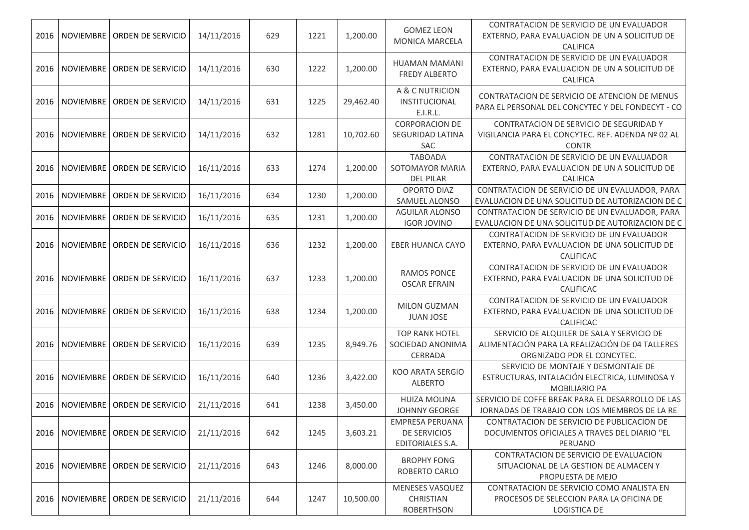| 2016 |                  | NOVIEMBRE   ORDEN DE SERVICIO | 14/11/2016 | 629 | 1221 | 1,200.00  | <b>GOMEZ LEON</b><br><b>MONICA MARCELA</b>                      | CONTRATACION DE SERVICIO DE UN EVALUADOR<br>EXTERNO, PARA EVALUACION DE UN A SOLICITUD DE<br><b>CALIFICA</b>                |
|------|------------------|-------------------------------|------------|-----|------|-----------|-----------------------------------------------------------------|-----------------------------------------------------------------------------------------------------------------------------|
| 2016 |                  | NOVIEMBRE   ORDEN DE SERVICIO | 14/11/2016 | 630 | 1222 | 1,200.00  | <b>HUAMAN MAMANI</b><br><b>FREDY ALBERTO</b>                    | CONTRATACION DE SERVICIO DE UN EVALUADOR<br>EXTERNO, PARA EVALUACION DE UN A SOLICITUD DE<br><b>CALIFICA</b>                |
| 2016 |                  | NOVIEMBRE   ORDEN DE SERVICIO | 14/11/2016 | 631 | 1225 | 29,462.40 | A & C NUTRICION<br><b>INSTITUCIONAL</b><br>E.I.R.L.             | CONTRATACION DE SERVICIO DE ATENCION DE MENUS<br>PARA EL PERSONAL DEL CONCYTEC Y DEL FONDECYT - CO                          |
| 2016 |                  | NOVIEMBRE   ORDEN DE SERVICIO | 14/11/2016 | 632 | 1281 | 10,702.60 | <b>CORPORACION DE</b><br>SEGURIDAD LATINA<br><b>SAC</b>         | CONTRATACION DE SERVICIO DE SEGURIDAD Y<br>VIGILANCIA PARA EL CONCYTEC. REF. ADENDA Nº 02 AL<br><b>CONTR</b>                |
| 2016 | NOVIEMBRE        | ORDEN DE SERVICIO             | 16/11/2016 | 633 | 1274 | 1,200.00  | <b>TABOADA</b><br>SOTOMAYOR MARIA<br><b>DEL PILAR</b>           | CONTRATACION DE SERVICIO DE UN EVALUADOR<br>EXTERNO, PARA EVALUACION DE UN A SOLICITUD DE<br><b>CALIFICA</b>                |
| 2016 | NOVIEMBRE        | ORDEN DE SERVICIO             | 16/11/2016 | 634 | 1230 | 1,200.00  | OPORTO DIAZ<br>SAMUEL ALONSO                                    | CONTRATACION DE SERVICIO DE UN EVALUADOR, PARA<br>EVALUACION DE UNA SOLICITUD DE AUTORIZACION DE C                          |
| 2016 | NOVIEMBRE        | ORDEN DE SERVICIO             | 16/11/2016 | 635 | 1231 | 1,200.00  | <b>AGUILAR ALONSO</b><br><b>IGOR JOVINO</b>                     | CONTRATACION DE SERVICIO DE UN EVALUADOR, PARA<br>EVALUACION DE UNA SOLICITUD DE AUTORIZACION DE C                          |
| 2016 | NOVIEMBRE        | ORDEN DE SERVICIO             | 16/11/2016 | 636 | 1232 | 1,200.00  | <b>EBER HUANCA CAYO</b>                                         | CONTRATACION DE SERVICIO DE UN EVALUADOR<br>EXTERNO, PARA EVALUACION DE UNA SOLICITUD DE<br>CALIFICAC                       |
| 2016 | <b>NOVIEMBRE</b> | ORDEN DE SERVICIO             | 16/11/2016 | 637 | 1233 | 1,200.00  | <b>RAMOS PONCE</b><br><b>OSCAR EFRAIN</b>                       | CONTRATACION DE SERVICIO DE UN EVALUADOR<br>EXTERNO, PARA EVALUACION DE UNA SOLICITUD DE<br><b>CALIFICAC</b>                |
| 2016 |                  | NOVIEMBRE   ORDEN DE SERVICIO | 16/11/2016 | 638 | 1234 | 1,200.00  | MILON GUZMAN<br><b>JUAN JOSE</b>                                | CONTRATACION DE SERVICIO DE UN EVALUADOR<br>EXTERNO, PARA EVALUACION DE UNA SOLICITUD DE<br><b>CALIFICAC</b>                |
| 2016 |                  | NOVIEMBRE   ORDEN DE SERVICIO | 16/11/2016 | 639 | 1235 | 8,949.76  | <b>TOP RANK HOTEL</b><br>SOCIEDAD ANONIMA<br>CERRADA            | SERVICIO DE ALQUILER DE SALA Y SERVICIO DE<br>ALIMENTACIÓN PARA LA REALIZACIÓN DE 04 TALLERES<br>ORGNIZADO POR EL CONCYTEC. |
| 2016 | NOVIEMBRE        | ORDEN DE SERVICIO             | 16/11/2016 | 640 | 1236 | 3,422.00  | <b>KOO ARATA SERGIO</b><br><b>ALBERTO</b>                       | SERVICIO DE MONTAJE Y DESMONTAJE DE<br>ESTRUCTURAS, INTALACIÓN ELECTRICA, LUMINOSA Y<br><b>MOBILIARIO PA</b>                |
| 2016 | <b>NOVIEMBRE</b> | ORDEN DE SERVICIO             | 21/11/2016 | 641 | 1238 | 3,450.00  | <b>HUIZA MOLINA</b><br><b>JOHNNY GEORGE</b>                     | SERVICIO DE COFFE BREAK PARA EL DESARROLLO DE LAS<br>JORNADAS DE TRABAJO CON LOS MIEMBROS DE LA RE                          |
| 2016 |                  | NOVIEMBRE   ORDEN DE SERVICIO | 21/11/2016 | 642 | 1245 | 3,603.21  | EMPRESA PERUANA<br>DE SERVICIOS<br><b>EDITORIALES S.A.</b>      | CONTRATACION DE SERVICIO DE PUBLICACION DE<br>DOCUMENTOS OFICIALES A TRAVES DEL DIARIO "EL<br>PERUANO                       |
| 2016 |                  | NOVIEMBRE   ORDEN DE SERVICIO | 21/11/2016 | 643 | 1246 | 8,000.00  | <b>BROPHY FONG</b><br>ROBERTO CARLO                             | CONTRATACION DE SERVICIO DE EVALUACION<br>SITUACIONAL DE LA GESTION DE ALMACEN Y<br>PROPUESTA DE MEJO                       |
| 2016 |                  | NOVIEMBRE   ORDEN DE SERVICIO | 21/11/2016 | 644 | 1247 | 10,500.00 | <b>MENESES VASQUEZ</b><br><b>CHRISTIAN</b><br><b>ROBERTHSON</b> | CONTRATACION DE SERVICIO COMO ANALISTA EN<br>PROCESOS DE SELECCION PARA LA OFICINA DE<br>LOGISTICA DE                       |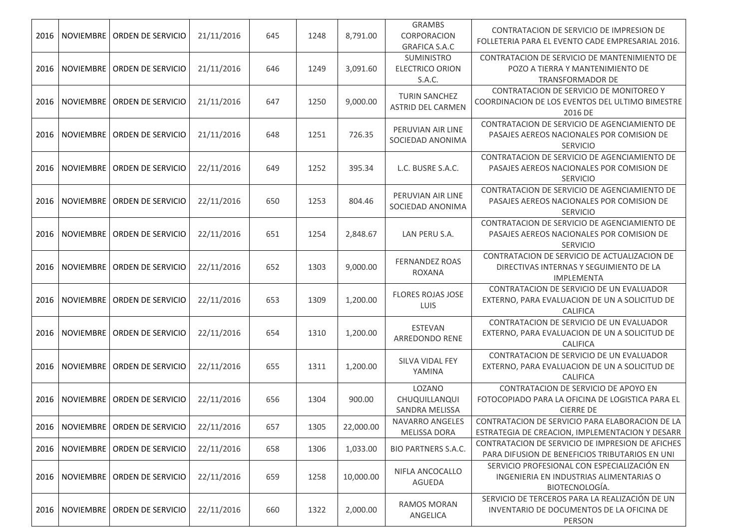| 2016 |                  | NOVIEMBRE   ORDEN DE SERVICIO | 21/11/2016 | 645 | 1248 | 8,791.00  | <b>GRAMBS</b><br>CORPORACION                          | CONTRATACION DE SERVICIO DE IMPRESION DE                                                                     |
|------|------------------|-------------------------------|------------|-----|------|-----------|-------------------------------------------------------|--------------------------------------------------------------------------------------------------------------|
|      |                  |                               |            |     |      |           | <b>GRAFICA S.A.C</b>                                  | FOLLETERIA PARA EL EVENTO CADE EMPRESARIAL 2016.                                                             |
| 2016 |                  | NOVIEMBRE   ORDEN DE SERVICIO | 21/11/2016 | 646 | 1249 | 3,091.60  | <b>SUMINISTRO</b><br><b>ELECTRICO ORION</b><br>S.A.C. | CONTRATACION DE SERVICIO DE MANTENIMIENTO DE<br>POZO A TIERRA Y MANTENIMIENTO DE<br><b>TRANSFORMADOR DE</b>  |
| 2016 |                  | NOVIEMBRE   ORDEN DE SERVICIO | 21/11/2016 | 647 | 1250 | 9,000.00  | <b>TURIN SANCHEZ</b><br><b>ASTRID DEL CARMEN</b>      | CONTRATACION DE SERVICIO DE MONITOREO Y<br>COORDINACION DE LOS EVENTOS DEL ULTIMO BIMESTRE<br>2016 DE        |
| 2016 |                  | NOVIEMBRE   ORDEN DE SERVICIO | 21/11/2016 | 648 | 1251 | 726.35    | PERUVIAN AIR LINE<br>SOCIEDAD ANONIMA                 | CONTRATACION DE SERVICIO DE AGENCIAMIENTO DE<br>PASAJES AEREOS NACIONALES POR COMISION DE<br><b>SERVICIO</b> |
| 2016 | NOVIEMBRE        | ORDEN DE SERVICIO             | 22/11/2016 | 649 | 1252 | 395.34    | L.C. BUSRE S.A.C.                                     | CONTRATACION DE SERVICIO DE AGENCIAMIENTO DE<br>PASAJES AEREOS NACIONALES POR COMISION DE<br><b>SERVICIO</b> |
| 2016 | <b>NOVIEMBRE</b> | l ORDEN DE SERVICIO           | 22/11/2016 | 650 | 1253 | 804.46    | PERUVIAN AIR LINE<br>SOCIEDAD ANONIMA                 | CONTRATACION DE SERVICIO DE AGENCIAMIENTO DE<br>PASAJES AEREOS NACIONALES POR COMISION DE<br><b>SERVICIO</b> |
| 2016 | <b>NOVIEMBRE</b> | ORDEN DE SERVICIO             | 22/11/2016 | 651 | 1254 | 2,848.67  | LAN PERU S.A.                                         | CONTRATACION DE SERVICIO DE AGENCIAMIENTO DE<br>PASAJES AEREOS NACIONALES POR COMISION DE<br><b>SERVICIO</b> |
| 2016 | NOVIEMBRE        | ORDEN DE SERVICIO             | 22/11/2016 | 652 | 1303 | 9,000.00  | <b>FERNANDEZ ROAS</b><br><b>ROXANA</b>                | CONTRATACION DE SERVICIO DE ACTUALIZACION DE<br>DIRECTIVAS INTERNAS Y SEGUIMIENTO DE LA<br><b>IMPLEMENTA</b> |
| 2016 |                  | NOVIEMBRE   ORDEN DE SERVICIO | 22/11/2016 | 653 | 1309 | 1,200.00  | <b>FLORES ROJAS JOSE</b><br>LUIS                      | CONTRATACION DE SERVICIO DE UN EVALUADOR<br>EXTERNO, PARA EVALUACION DE UN A SOLICITUD DE<br><b>CALIFICA</b> |
| 2016 |                  | NOVIEMBRE   ORDEN DE SERVICIO | 22/11/2016 | 654 | 1310 | 1,200.00  | <b>ESTEVAN</b><br>ARREDONDO RENE                      | CONTRATACION DE SERVICIO DE UN EVALUADOR<br>EXTERNO, PARA EVALUACION DE UN A SOLICITUD DE<br><b>CALIFICA</b> |
| 2016 |                  | NOVIEMBRE   ORDEN DE SERVICIO | 22/11/2016 | 655 | 1311 | 1,200.00  | SILVA VIDAL FEY<br>YAMINA                             | CONTRATACION DE SERVICIO DE UN EVALUADOR<br>EXTERNO, PARA EVALUACION DE UN A SOLICITUD DE<br><b>CALIFICA</b> |
| 2016 |                  | NOVIEMBRE   ORDEN DE SERVICIO | 22/11/2016 | 656 | 1304 | 900.00    | LOZANO<br>CHUQUILLANQUI<br><b>SANDRA MELISSA</b>      | CONTRATACION DE SERVICIO DE APOYO EN<br>FOTOCOPIADO PARA LA OFICINA DE LOGISTICA PARA EL<br><b>CIERRE DE</b> |
| 2016 |                  | NOVIEMBRE   ORDEN DE SERVICIO | 22/11/2016 | 657 | 1305 | 22,000.00 | NAVARRO ANGELES<br><b>MELISSA DORA</b>                | CONTRATACION DE SERVICIO PARA ELABORACION DE LA<br>ESTRATEGIA DE CREACION, IMPLEMENTACION Y DESARR           |
| 2016 |                  | NOVIEMBRE   ORDEN DE SERVICIO | 22/11/2016 | 658 | 1306 | 1,033.00  | <b>BIO PARTNERS S.A.C.</b>                            | CONTRATACION DE SERVICIO DE IMPRESION DE AFICHES<br>PARA DIFUSION DE BENEFICIOS TRIBUTARIOS EN UNI           |
| 2016 |                  | NOVIEMBRE   ORDEN DE SERVICIO | 22/11/2016 | 659 | 1258 | 10,000.00 | NIFLA ANCOCALLO<br>AGUEDA                             | SERVICIO PROFESIONAL CON ESPECIALIZACIÓN EN<br>INGENIERIA EN INDUSTRIAS ALIMENTARIAS O<br>BIOTECNOLOGÍA.     |
| 2016 |                  | NOVIEMBRE   ORDEN DE SERVICIO | 22/11/2016 | 660 | 1322 | 2,000.00  | RAMOS MORAN<br>ANGELICA                               | SERVICIO DE TERCEROS PARA LA REALIZACIÓN DE UN<br>INVENTARIO DE DOCUMENTOS DE LA OFICINA DE<br>PERSON        |